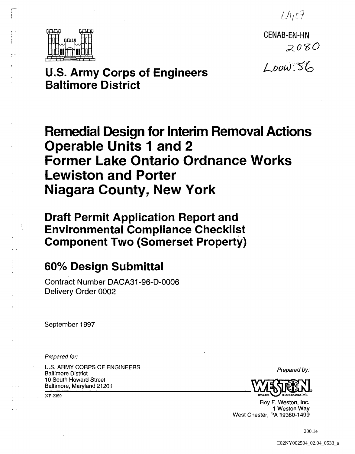$L$ NU $7$ 



CENAB-EN-HN  $2080$ 

*L-OOtJ .c''S'ro* 

**u.s. Army Corps of Engineers Baltimore District** 

# **Remedial Design for Interim Removal Actions Operable Units 1 and 2 Former Lake Ontario Ordnance Works Lewiston and Porter Niagara County, New York**

**Draft Permit Application Report and Environmental Compliance Checklist Component Two (Somerset Property)** 

# **600/0 Design Submittal**

Contract Number DACA31-96-D-0006 Delivery Order 0002

September 1997

Prepared for:

U.S. ARMY CORPS OF ENGINEERS U.S. ANNIT CONFISION ENGINEERS<br>Baltimore District Prepared by: Baltimore, Maryland 21201 10 South Howard Street **Formular Exercise Exercise Server Server Server Server Server Server Server Server Server Server Server Server Server Server Server Server Server Server Server Server Server Server Server Server Server Server Server Serve** 

97P-2359



Roy F. Weston, Inc. 1 Weston Way West Chester, PA 19380-1499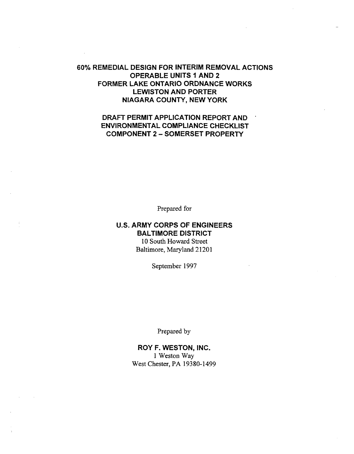## 60% REMEDIAL DESIGN FOR INTERIM REMOVAL ACTIONS OPERABLE UNITS 1 AND 2 FORMER LAKE ONTARIO ORDNANCE WORKS LEWISTON AND PORTER NIAGARA COUNTY, NEW YORK

## DRAFT PERMIT APPLICATION REPORT AND ENVIRONMENTAL COMPLIANCE CHECKLIST COMPONENT 2 - SOMERSET PROPERTY

Prepared for

## U.S. ARMY CORPS OF ENGINEERS BALTIMORE DISTRICT 10 South Howard Street Baltimore, Maryland 21201

September 1997

Prepared by

ROY F. WESTON, INC. 1 Weston Way West Chester, PA 19380-1499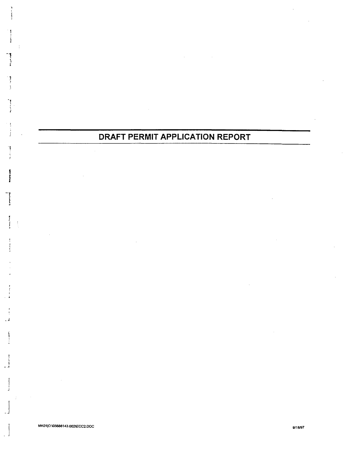## **DRAFT PERMIT APPLICATION REPORT**

I

R

1 f

*j* <sup>f</sup> ,

 $\begin{bmatrix} 1 & 0 & 0 \\ 0 & 0 & 0 \\ 0 & 0 & 0 \\ 0 & 0 & 0 \end{bmatrix}$ 

-..

 $\mathbf{I}$ 

- I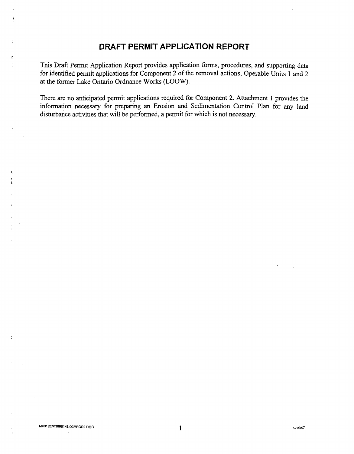## **DRAFT PERMIT APPLICATION REPORT**

This Draft Permit Application Report provides application forms, procedures, and supporting data for identified pennit applications for Component 2 of the removal actions, Operable Units 1 and 2 at the fonner Lake Ontario Ordnance Works (LOOW).

There are no anticipated permit applications required for Component 2. Attachment 1 provides the infonnation necessary for preparing an Erosion and Sedimentation Control Plan for any land disturbance activities that will be perfonned, a permit for which is not necessary.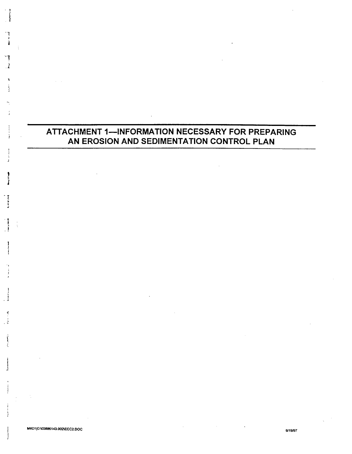## **ATTACHMENT 1-INFORMATION NECESSARY FOR PREPARING AN EROSION AND SEDIMENTATION CONTROL PLAN**

.',

1 *.l* 

..  $\ddot{\hat{}}$ l

.,

) \ . . <u>.</u>

j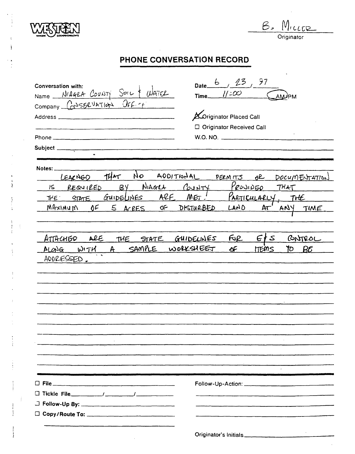

B. MILLER

**Originator** 

## **PHONE CONVERSATION RECORD**

| Conversation with:<br>Name NIAGRA COUNTY SOIL & WATER<br>Subject _____________                                           | Date $6, 23, 97$<br>Time_ $1/200$<br><b>AMPM</b><br><b>A</b> Originator Placed Call<br>□ Originator Received Call<br>W.O. NO. |
|--------------------------------------------------------------------------------------------------------------------------|-------------------------------------------------------------------------------------------------------------------------------|
| Notes:<br>IS REQUIRED BY NIAGLA COUNTY PROJIDED THAT<br>THE STATE GUIDELINES ARE MET!<br>MAXIMUM OF 5 ACRES OF DISTURBED | LEACNED THAT NO ADDITIONAL PERMITS OR DOCUMENTATION<br>PARTICULARLY, THE<br>LAD<br>Ar<br>ANY TIME                             |
| ATTACHED ARE<br>THE STATE GUIDELINES<br>ALONG WITH A SAMPLE WORKSHEET<br>ADDRESSED.                                      | $F_1 \times F_2$<br>CONTROL<br>TO $B\mathcal{E}$<br>Æ<br><b>HEMS</b>                                                          |
|                                                                                                                          |                                                                                                                               |
|                                                                                                                          | Originator's Initials                                                                                                         |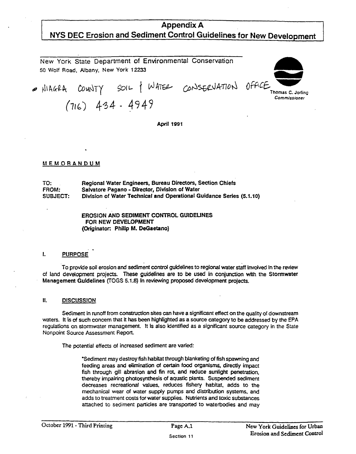## Appendix A NYS DEC Erosion and Sediment Control Guidelines for New Development

New York State Department of Environmental Conservation 50 Wolf Road. Albany. New York 12233 COUNTY SOIL / WATER CONSERVATION OFFICE Thomas C. **.....,**   $(716)$  434 - 4949 Thomas C. Jorling Commissioner

April 1991

#### MEMORANDUM

TO: FROM: SUBJECT: Regional Water Engineers, Bureau Directors, Section Chiefs Salvatore Pagano - Director, Division of Water Division of Water Technical and Operational Guidance Series (5.1.10)

> EROSION AND SEDIMENT CONTROL GUIDEUNES FOR NEW DEVELOPMENT (Originator: Philip M. DeGaetano)

#### I. PURPOSE

. The contract of the contract of the contract of the contract of the contract of the contract of the contract of the contract of the contract of the contract of the contract of the contract of the contract of the contrac To provide soil erosion and sediment control guidelines to regional water staff Involved In the review of land development projects. These guidelines are to be used in conjunction whh the Stormwater Management Guidelines (TOGS 5.1.8) In reviewing proposed development projects.

II. DISCUSSION

Sediment in runoff from construction sites can have a significant effect on the quality of downstream waters. It is of such concem that it has been highlighted as a source category to be addressed by the EPA regulations on stormwater management. It Is also identified as a significant source category in the State Nonpoint Source Assessment Report.

The potential effects of increased sediment are varied:

·Sediment may destroy fish habitat through blanketing of fish spawning and feeding areas and elimination of certain food organisms, direcdy impact fish through gill abrasion and fin rot, and reduce sunlight penetration. thereby impairing photosynthesis of aquatic plants. Suspended sediment decreases recreational values. reduces fishery habitat. adds to the mechanical wear of water supply pumps and distribution systems, and adds to treatment costs for water supplies. Nutrients and toxic substances attached to sediment panicles are transponed to waterbodies and may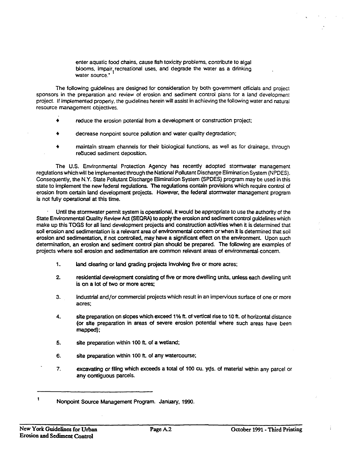enter aquatic food chains, cause fish toxicity problems, contribute to algal blooms, impair recreational uses, and degrade the water as a drinking<br>water.co.use. . water source."

The following guidelines are designed for consideration by both govemment officials and project sponsors in the preparation and review of erosion and sediment control plans for a land development project. If Implemented properly, the guidelines herein will assist in achieving the following water and natural resource management objectives.

- reduce the erosion potential from a development or construction project;
- decrease nonpoint source pollution and water quality degradation;
- maintain stream channels for their biological functions, as well as for drainage, through reduced sediment deposition.

The U.S. Environmental Protection Agency has recently adopted stormwater management regulations which will be implemented through the National Pollutant Discharge Elimination System (NPDES). Consequently, the N.Y. State Pollutant Discharge Elimination System (SPDES) program may be used in this state to implement the new federal regulations. The regulations contain provisions which require control of erosion from certain land development projects. However, the federal stormwater management program is not fully operational at this time.

Until the stormwater permit system is operational, It would be appropriate to use the authority of the State Environmental Quality Review Act (SEQRA) to apply the erosion and sediment control guidelines which make up this TOGS for all land development projects and construction activities when it is determined that soil erosion and sedimentation is a relevant area of environmental concern or when it is determined that soil erosion and sedimentation, if not controlled, may have a significant effect on the environment. Upon such determination, an erosion and sediment control plan should be prepared. The following are examples of projects where soil erosion and sedimentation are common relevant areas of environmental· concem.

- 1. land clearing or land grading projects involving five or more acres;
- 2. residential development consisting of five or more dwelling units, unless each dwelling unit is on a lot of two or more acres;
- 3. industrial and/or commercial projects which result in an impervious surface of one or more acres;
- 4. site preparation on slopes which exceed 11⁄2 ft. of vertical rise to 10 ft. of horizontal distance (or site preparation in areas of severe erosion potential where such areas have been mapped);
- 5. site preparation within 100 ft. of a wetland;
- 6. site preparation within 100 ft. of any watercourse;
- 7. excavating or filing which exceeds a total of 100 cu. yds. of material within any parcel or any contiguous parcels.

Nonpoint Source Management Program. January, 1990.

 $\mathbf{I}$ 

Ť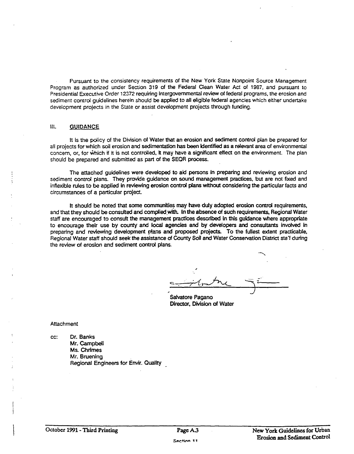Pursuant to the consistency requirements of the New York State Nonpoint Source Management Program as authorized under Section 319 of the Federal Oean Water Act of 1987, and pursuant to Presidential Executive Order 12372 requiring Intergovernmental review of federal programs, the erosion and sediment control guidelines herein should be applied to all eligible federal agencies which either undertake development projects in the State or assist development projects through funding.

#### III. GUIDANCE

It is the policy of the Division of Water that an erosion and sediment control plan be prepared for all projects for which soil erosion and sedimentation has been Identified as a relevant area of environmental concern, or, for Which if It is not controlled. It may have a significant effect on the environment. The plan should be prepared and submitted as part of the SEQR process.

The attached guidelines were developed to aid persons In preparing and reviewing erosion and sediment control plans. They provide guidance on sound management practices, but are not fixed and inflexible rules to be applied in reviewing erosion control plans without considering the particular facts and circumstances of a particular project.

It should be noted that some communities may have duly adopted erosion control requirements. and that they should be consulted and complied with. In the absence of such requirements, Regional Water staff are encouraged to consuit the management practices described In this guidance where appropriate to encourage their use by county and local agencies and by developers and consultants involved in preparing and reviewing development plans and proposed projects. To the fullest extent practicable. Regional Water staff should seek the assistance of County Soil and Water Conservation District sta'f during the review of erosion and sediment control plans.

Salvatore Pagano Director, Division of Water

**Attachment** 

cc: Or. Banks Mr. Campbell Ms. Chrimes Mr. Bruening Regional Engineers for Envir. Quality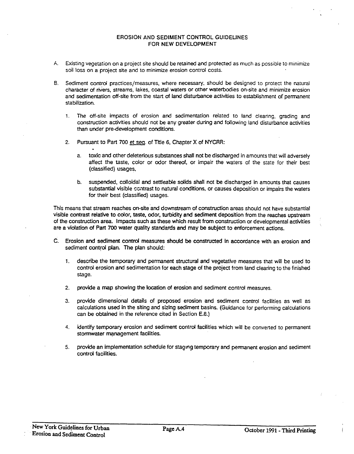#### EROSION AND SEDIMENT CONTROL GUIDEUNES FOR NEW DEVELOPMENT

- A. Existing vegetation on a project site should be retained and protected as much as possible to minimize soil loss on a project site and to minimize erosion control costs.
- B. Sediment control practices/measures. where necessary. should be designed to protect the natural character of miers. streams. lakes. coastal waters or other waterbodies on-site and minimize erosion and sedimentation off-site from the start of land disturbance activities to establishment of permanent stabilization.
	- 1. The off-site impacts of erosion and sedimentation related to land clearing, grading and construction activities should not be any greater during and following land disturbance activities than under pre-development conditions.
	- 2. Pursuant to Part 700 et seq. of Title 6. Chapter X of NYCRR:
		- a. toxic and other deleterious substances shall not be discharged in amounts that will adversely affect the taste. color or odor thereof, or impair the waters of the state for their best (classified) usages.
		- b. suspended, colloidal and settleable solids shall not be discharged in amounts that causes substantial visible contrast to natural conditions, or causes deposition or impairs the waters for their best (classified) usages.

This means that stream reaches on-site and downstream of construction areas should not have substantial visible contrast relative to color, taste, odor, turbidity and sediment deposition from the reaches upstream of the construction area. Impacts such as these which result from construction or developmental activities are a violation of Part 700 water quality standards and may be subject to enforcement actions.

- C. Erosion and sediment control measures should be constructed In accordance with an erosion and sediment control plan. The plan should:
	- 1. describe the temporary and permanent structural and vegetative measures that will be used to control erosion and sedimentation for each stage of the project from land clearing to the finished stage.
	- 2. provide a map showing the location of erosion and sediment control measures.
	- 3. provide dimensional details of proposed erosion and sediment control facilities as well as calculations used in the siting and sizing sediment basins. (Guidance for performing calculations can be obtained in the reference cited in Section E.8.)
	- 4. identify temporary erosion and sediment control facilities which will be converted to permanent stormwater management facilities.
	- 5. provide an implementation schedule for staging temporary and permanent erosion and sediment control facilities.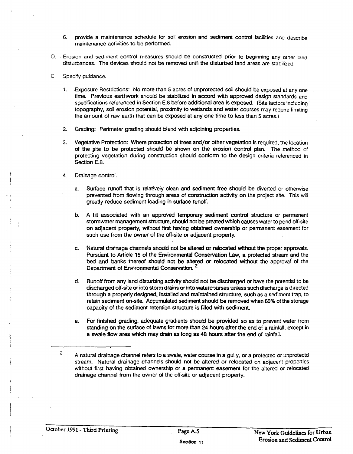- 6. provide a maintenance schedule for soil erosion and sediment control facilities and describe maintenance activities to be perfonned.
- D. . Erosion and sediment control measures should be constructed prior to beginning any other land disturbances. The devices should not be removed until the disturbed land areas are stabilized.
- E. Specify guidance.
	- 1. .Exposure Restrictions: No more than 5 acres of unprotected soil should be exposed at anyone . time. Previous earthwork should be stabilized in accord with approved design standards and specifications referenced in Section E.8 before additional area is exposed. (Site factors including topography, soil erosion potential, proximity to wetlands and water courses may require limiting the amount of raw earth that can be exposed at anyone time to less than 5 acres.)
	- 2. Grading: Perimeter grading should blend with adjoining properties.
	- 3. Vegetative Protection: Where protection of trees and/or other vegetation is required, the location of the site to be protected should be shown on the erosion control plan. The method of protecting vegetation during construction should confonn to the design criteria referenced in Section E.8.
	- 4. Drainage control.
		- a. Surface runoff that is relatively clean and sediment free should be diverted or otherwise prevented from flowing through areas of construction activity on the project site. This will greatly reduce sediment loading In surface runoff.
		- b. A fill associated with an approved temporary sediment control structure or permanent stonnwater management structure, shoufd not be created which causes water to pond off-site on adjacent property, without first having obtained ownership or permanent easement for such use from the owner of the off-site or adjacent property.
		- c. Natural drainage channels should not be altered or relocated without the proper approvals. Pursuant to Article 15 of the Environmental Conservation Law, a protected stream and the bed and banks thereof should not be altered or relocated without the approval' of the Department of Environmental Conservation.<sup>2</sup>
		- d. Runoff from any land disturbing activity should not be discharged or have the potential to be discharged off-site or into storm drains or into watercourses unless such discharge is directed through a properiy designed, Installed and maintained structure, such as a sediment trap, to retain sediment on-site. Accumulated sediment should be removed when 60% of the storage capacity of the sediment retention structure is fdled with sediment
		- e. For finished grading, adequate gradients should be provided so as to prevent water from standing on the surface of lawns for more than 24 hours after the end of a rainfall, except in a swale flow area which may drain as long as 48 hours after the end of rainfall.

<sup>2</sup>  A natural drainage channel refers to a swale, water course in a gully, or a protected or unprotectd stream. Natural drainage channels should not be altered or relocated on adjacent properties without first having obtained ownership or a permanent easement for the altered or relocated drainage channel from the owner of the off-site or adjacent property.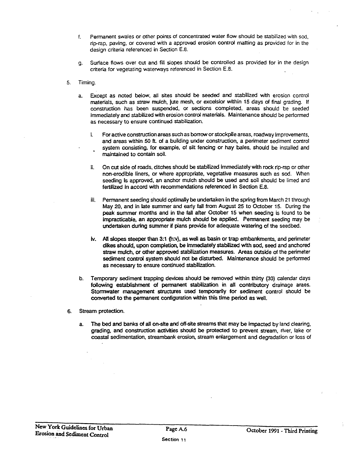- f. Permanent swales or other points of concentrated water flow should be stabilized with sod, rip-rap, paving, or covered with a approved erosion control matting as provided for in the design criteria referenced in Section E.8.
- g. Surface flows over cut and fill slopes should be controlled as provided for in the design criteria for vegetating waterways referenced in Section E.S.
- 5. Timing.
	- a. Except as noted below, all sites should be seeded and stabilized with erosion control materials, such as straw mulch, jute mesh, or excelsior within 15 days of final grading. If construction has been suspended, or sections completed, areas should be seeded immediately and stabilized with erosion control materials. Maintenance should be performed as necessary to ensure continued stabilization.
		- i. For active construction areas such as borrow or stockpile areas, roadway improvements, and areas within 50 ft. of a building under construction, a perimeter sediment control system consisting, for example, of silt fencing or hay bales, should be installed and maintained to contain soil.
		- ii. On cut side of roads, ditches should be stabilized Immediately with rock rip-rap or other non-erodible liners, or where appropriate, vegetative measures such as sod. When seeding Is approved, an anchor mulch should be used and soil should be limed and fertilized in accord with recommendations referenced in Section E.8.
		- iii. Permanent seeding should optimally be undertaken in the spring from March 21 through May 20, and in late summer and eariy fall from August 25 to October 15. During the peak summer months and in the fall after October 15 when seeding is found to be Impracticable. an appropriate mulch should be applied. Permanent seeding may be undertaken during summer if plans provide for adequate watering of the seedbed.
		- tv. All slopes steeper than 3:1 (h:v). as well as basin or trap embankments, and perimeter dikes should, upon completion, be immediately stabilized with sod, seed and anchored straw mulch, or other approved stabilization measures. Areas outside of the perimeter sediment control system should not be disturbed. Maintenance should be performed as necessary to ensure continued stabilization.
	- b. Temporary sediment trapping devices should be removed within thirty (30) calendar days following establishment of permanent stabilization in all contributory drainage araes. Stormwater management structures used temporanly for sediment control should be converted to the permanent configuration within this time period as well.
- 6. Stream protection.
	- a. The bed and banks of all on-site and off-site streams that may be Impacted by land clearing, grading, and construction activities should be protected to prevent stream, river, lake or coastal sedimentation, streambank erosion, stream enlargement and degradation or loss of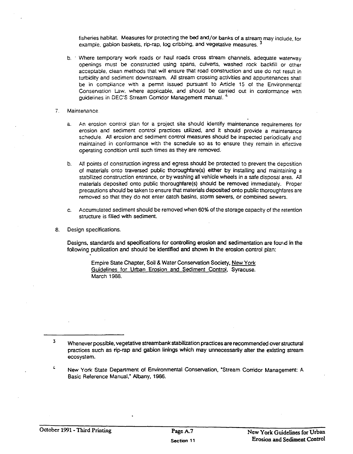fisheries habitat. Measures for protecting the bed and/or banks of a stream may include, for example, gabion baskets, rip-rap, log cribbing, and vegetative measures.<sup>3</sup>

- b. . Where temporary work roads or haul roads cross stream channels, adequate waterway openings must be constructed using spans, culverts, washed rock backfill or other acceptable, clean methods that will ensure that road construction and use do not result in turbidity and sediment downstream. All stream crossing activities and appurtenances shall be in compliance with a permit issued pursuant to Article 15 of the Environmental Conservation Law, where applicable, and should be carried out in conformance with quidelines in DEC'S Stream Corridor Management manual.<sup>4</sup>
- 7. Maintenance.
	- a. An erosion control plan for a project site should identify maintenance requirements for erosion and sediment control practices utilized, and it should provide a maintenance schedule. All erosion and sediment control measures should be inspected periodically and maintained in conformance with the scnedule so as to ensure they remain in effective operating condition until such times as they are removed.
	- b. All points of construction ingress and egress should be protected to prevent the deposition of materials onto traversed public thoroughfare(s) either by installing and maintaining a stabilized construction entrance, or by washing all vehicle wheels in a safe disposal area. All materials deposited onto public thoroughfare(s) should be removed immediately. Proper precautions should be taken to ensure that materials deposited onto public thoroughfares are removed so that they do not enter catch basins, storm sewers. or combined sewers.
	- c. Accumulated sediment should be removed when 60% of the storage capacity of the retention structure is filled with sediment.
- 8. Design specifications.

Designs, standards and specifications for controlling erosion and sedimentation are found in the following publication and should be identified and shown in the erosion control plan:

Empire State Chapter. Soil & Water Conservation Society. New York Guidelines for Urban Erosion and Sediment Control. Syracuse. March 1988.

3 Whenever possible. vegetative streambank stabilization practices are recommended over structural practices such as rip-rap and gabion linings which may unnecessarily alter the existing stream ecosystem.

 $\overline{\mathbf{r}}$ New York State Department of Environmental Conservation, "Stream Corridor Management: A Basic Reference Manual; Albany, 1986.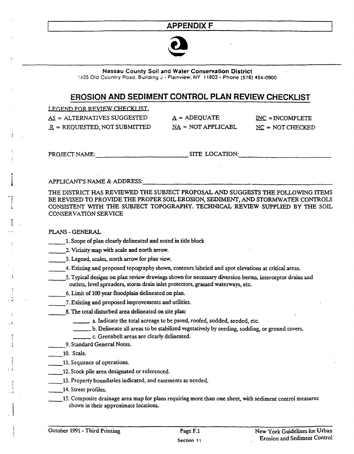## **APPENDIX F**



Nassau County Soil and Water Conservation District

~~25 Old Country Road. Building J - Plaanview. NY 11803 - Phone (516) 454-0900

## **EROSION AND SEDIMENT CONTROL PLAN REVIEW CHECKLIST**

LEGEND FOR REVIEW CHECKLIST. AS. = ALTERNATIVES SUGGESTED  $R = REQUESTED, NOT SUBMITTED$ 

 $A = ADEQUATE$  $NA = NOT APPLICATION$  INC = INCOMPLETE  $NC = NOT$  CHECKED

.. .<br>.<br>.

 $\ddot{i}$ '.

'i

*\_.i.* 

, ;

PROJECT NAME: \_\_\_\_\_\_\_\_\_\_\_\_ SITE LOCATION:. \_\_\_\_\_\_\_\_\_\_\_ \_

APPLICANT'S NAME & ADDRESS:

THE DISTRICT HAS REVIEWED THE SUBJECT PROPOSAL AND SUGGESTS THE FOLLOWING ITEMS BE REVISED TO PROVIDE THE PROPER SOIL EROSION, SEDIMENT, AND STORMWATER CONTROLS CONSISTENT WITH THE SUBJECT TOPOGRAPHY. TECHNICAL REVIEW SUPPLIED BY THE SOIL CONSERVATION SERVICE

#### PLANS-GENERAL

- \_\_ 1. Scope of plan clearly delineated and noted in title block
- \_\_ 2. Vicinity map with scale and north arrow.
- \_\_ 3. Legend, scales, north arrow for plan view.
- \_\_ 4. Existing and proposed topography shown, contours labeled and spot elevations at critical areas.
- \_\_ 5. Typical designs on plan review drawings shown for necessary diversion berms, interceptor drains and outlets, level spreaders, storm drain inlet protectors, grassed waterways, etc.
- 6. Limit of 100 year floodplain delineated on plan.
- \_\_ 7. Existing and proposed improvements and utilities.
- \_\_ 8. The total disturbed area delineated on site plan:
	- \_\_ a. Indicate the total acreage to be paved, roofed, sodded, seeded, etc.
	- \_\_\_ b. Delineate all areas to be stabilized vegetatively by seeding, sodding, or ground covers.
	- \_\_\_ c. Greenbelt areas are clearly delineated.
	- 9. Standard General Notes.
- \_\_ 10. Scale.
- \_\_ 11. Sequence of operations.
- 12. Stock pile area designated or referenced.
- \_\_ 13. Property boundaries indicated, and easements as needed.
- 14. Street profiles.
	- \_\_ 15. Composite drainage area map for plans requiring more than one sheet, with sediment control measures shown in their approximate locations.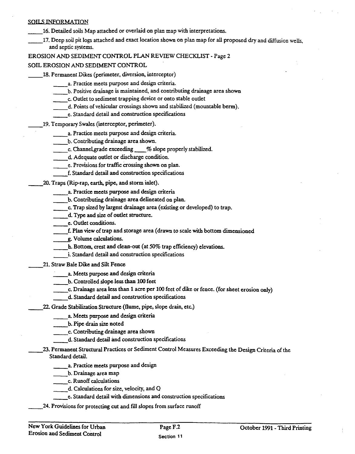#### SOILS INFORMATION

- 16. Detailed soils Map attached or overlaid on plan map with interpretations.
- \_\_ 17. Deep soil pit logs attached and exact location shown on plan map for all proposed dry and diffusion wells, and septic systems.

EROSION AND SEDIMENT CONTROL PLAN REVIEW CHECKLIST - Page 2

#### SOIL EROSION AND SEDIMENT CONTROL

- 18. Permanent Dikes (perimeter, diversion, interceptor)
	- \_\_ a. Practice meets purpose and design criteria.
	- \_\_ b. Positive drainage is maintained, and contributing drainage area shown
	- \_\_ c. Outlet to sediment trapping device or onto stable outlet
	- \_\_ d. Points ofvehicular crossings shown and stabilized (mountable berm).
	- \_\_ e. Standard detail and construction specifications
	- \_\_ 19. Temporary Swales (interceptor, perimeter).
		- \_\_ a. Practice meets purpose and design criteria.
		- \_\_ b. Contributing drainage area shown.
		- c. Channel grade exceeding % slope properly stabilized.
		- \_\_ d. Adequate outlet or discharge condition.
		- e. Provisions for traffic crossing shown on plan.
		- f. Standard detail and construction specifications
	- \_\_ 20. Traps (Rip-rap, earth, pipe, and storm inlet).
		- a. Practice meets purpose and design criteria
		- b. Contributing drainage area delineated on plan.
		- \_\_ co Trap sized by largest drainage area (existing or developed) to trap.
		- \_\_ d. Type and size of outlet structure.
		- \_\_ e. Outlet conditions.
		- e. Outlet conditions.<br>
		f. Plan view of trap and storage area (drawn to scale with bottom dimensioned<br>
		<u>e</u>. Volume calculations.
		-
		- g. Volume calculations.<br>h. Bottom, crest and clean-out (at 50% trap efficiency) elevations.
		- \_\_ i. Standard detail and construction specifications

21. Straw Bale Dike and Silt Fence

- a. Meets purpose and design criteria
- \_\_ b. Controlled slope less than 100 feet
- c. Drainage area less than 1 acre per 100 feet of dike or fence. (for sheet erosion only)
- \_\_ d. Standard detail and construction specifications
- \_\_ 22. Grade Stabilization Structure (flume, pipe, slope drain, etc.)
	- a. Meets purpose and design criteria
	- \_\_ b. Pipe drain size noted
	- \_\_ c. Contributing drainage area shown
		- d. Standard detail and construction specifications
- \_\_ 23. Permanent Structural Practices or Sediment Control Measures Exceeding the Design Criteria of the Standard detail.
	- a. Practice meets purpose and design
	- \_\_ b. Drainage area map
	- \_\_ c. Runoff calculations
	- d. Calculations for size, velocity, and Q
	- \_\_ e. Standard detail with dimensions and construction specifications
	- \_\_ 24. Provisions for protecting cut and fill slopes from surface runoff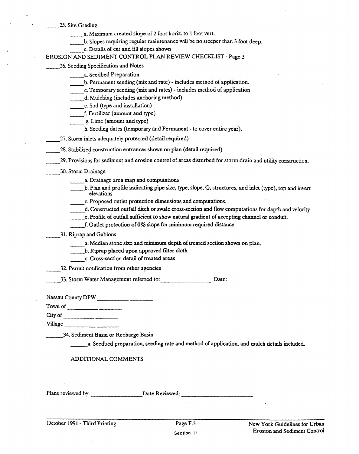25. Site Grading

- a. Maximum created slope of 2 foot horiz. to 1 foot vert.
- b. Slopes requiring regular maintenance will be no steeper than 3 foot deep.
	- \_\_ c. Details of cut and fill slopes shown

EROSION AND SEDIMENT CONTROL PLAN REVIEW CHECKLIST· Page 3

26. Seeding Specification and Notes

- \_\_ a. Seedbed Preparation
- b. Permanent seeding (mix and rate) includes method of application.
- \_\_ c. Temporary seeding (mix and rates) includes method of application
- \_\_ d. Mulching (includes anchoring method)
- e. Sod (type and installation)
- \_\_ f. Fertilizer (amount and type)
- g. Lime (amount and type)
- \_\_ h. Seeding dates (temporary and Permanent· to cover entire year).
- \_\_ 27. Storm inlets adequately protected (detail required)
- 
- 28. Stabilized construction entrances shown on plan (detail required) -- . \_\_ 29. Provisions for sediment and erosion control of areas disturbed for storm drain and utility construction.
- \_\_ 30. Storm Drainage
	- \_\_ a. Drainage area map and computations
	- b. Plan and profile indicating pipe size, type, slope, Q, structures, and inlet (type), top and invert a. Drainage:<br>b. Plan and p<br>elevations elevations<br>
	c. Proposed outlet protection dimensions and computations.
	-
	- d. Constructed outfall ditch or swale cross-section and flow computations for depth and velocity
		- e. Profile of outfall sufficient to show natural gradient of accepting channel or conduit.
	- \_\_ f. Outlet protection of 0% slope for minimum required distance
	- \_\_ 31. Riprap and Gabions
		- a. Median stone size and minimum depth of treated section shown on plan.
		- b. Riprap placed upon approved filter cloth
		- \_\_ c. Cross-section detail of treated areas
	- \_\_ 32. Permit notification from other agencies
	- \_\_ 33. Storm Water Management referred to: \_\_\_\_\_\_\_\_ Date:

Nassau County DPW

Townof ----- Cityof \_\_\_\_\_\_\_\_ \_

Village \_\_\_\_\_\_\_\_ \_

34. Sediment Basin or Recharge Basin

\_\_\_ a. Seedbed preparation, seeding rate and method of application, and mulch details included.

#### ADDITIONAL COMMENTS

Plans reviewed by: Date Reviewed: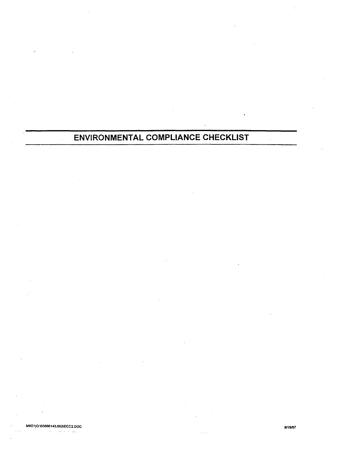## **ENVIRONMENTAL COMPLIANCE CHECKLIST**

 $\bar{\mathcal{A}}$ 

MK0110:\03B86143.002lECC2.DOC .9119197

 $\tau$  ,  $\tau$  ,  $\tau$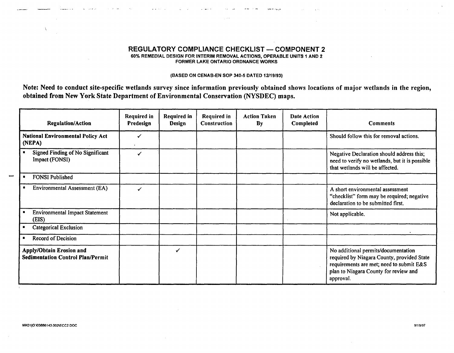#### REGULATORY COMPLIANCE CHECKLIST - COMPONENT 2 60% REMEDIAL DESIGN FOR INTERIM REMOVAL ACTIONS, OPERABLE UNITS 1 AND 2 FORMER LAKE ONTARIO ORDNANCE WORKS

~- -..... \_.

#### (BASED ON CENAB-EN SOP 340-5 DATED 12119/93)

Note: Need to conduct site-specific wetlands survey since information previously obtained shows locations of major wetlands in the region, obtained from New York state Department of Environmental Conservation (NYSDEC) maps.

| <b>Regulation/Action</b>                                                    | <b>Required in</b><br>Predesign | Required in<br>Design | <b>Required in</b><br>Construction | <b>Action Taken</b><br>By | <b>Date Action</b><br>Completed | <b>Comments</b>                                                                                                                                                                     |
|-----------------------------------------------------------------------------|---------------------------------|-----------------------|------------------------------------|---------------------------|---------------------------------|-------------------------------------------------------------------------------------------------------------------------------------------------------------------------------------|
| <b>National Environmental Policy Act</b><br>(NEPA)                          |                                 |                       |                                    |                           |                                 | Should follow this for removal actions.                                                                                                                                             |
| Signed Finding of No Significant<br>Impact (FONSI)                          |                                 |                       |                                    |                           |                                 | Negative Declaration should address this;<br>need to verify no wetlands, but it is possible<br>that wetlands will be affected.                                                      |
| <b>FONSI Published</b>                                                      |                                 |                       |                                    |                           |                                 |                                                                                                                                                                                     |
| <b>Environmental Assessment (EA)</b>                                        |                                 |                       |                                    |                           |                                 | A short environmental assessment<br>"checklist" form may be required; negative<br>declaration to be submitted first.                                                                |
| <b>Environmental Impact Statement</b><br>(EIS)                              |                                 |                       |                                    |                           |                                 | Not applicable.                                                                                                                                                                     |
| <b>Categorical Exclusion</b>                                                |                                 |                       |                                    |                           |                                 |                                                                                                                                                                                     |
| <b>Record of Decision</b>                                                   |                                 |                       |                                    |                           |                                 |                                                                                                                                                                                     |
| <b>Apply/Obtain Erosion and</b><br><b>Sedimentation Control Plan/Permit</b> |                                 | ✔                     |                                    |                           |                                 | No additional permits/documentation<br>required by Niagara County, provided State<br>requirements are met; need to submit E&S<br>plan to Niagara County for review and<br>approval. |

-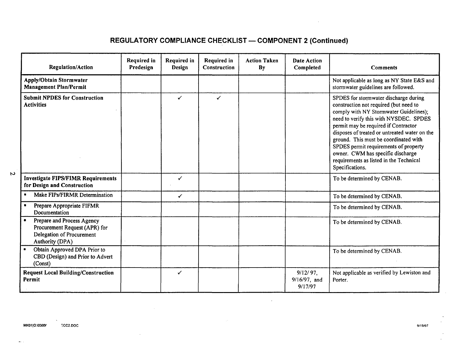## **REGULATORY COMPLIANCE CHECKLIST - COMPONENT 2 (Continued)**

| <b>Regulation/Action</b>                                                                                    | Required in<br>Predesign | Required in<br>Design | Required in<br>Construction | <b>Action Taken</b><br>By | <b>Date Action</b><br>Completed        | Comments                                                                                                                                                                                                                                                                                                                                                                                                                                          |
|-------------------------------------------------------------------------------------------------------------|--------------------------|-----------------------|-----------------------------|---------------------------|----------------------------------------|---------------------------------------------------------------------------------------------------------------------------------------------------------------------------------------------------------------------------------------------------------------------------------------------------------------------------------------------------------------------------------------------------------------------------------------------------|
| <b>Apply/Obtain Stormwater</b><br><b>Management Plan/Permit</b>                                             |                          |                       |                             |                           |                                        | Not applicable as long as NY State E&S and<br>stormwater guidelines are followed.                                                                                                                                                                                                                                                                                                                                                                 |
| <b>Submit NPDES for Construction</b><br><b>Activities</b>                                                   |                          | ✓                     | ✓                           |                           |                                        | SPDES for stormwater discharge during<br>construction not required (but need to<br>comply with NY Stormwater Guidelines);<br>need to verify this with NYSDEC. SPDES<br>permit may be required if Contractor<br>disposes of treated or untreated water on the<br>ground. This must be coordinated with<br>SPDES permit requirements of property<br>owner. CWM has specific discharge<br>requirements as listed in the Technical<br>Specifications. |
| <b>Investigate FIPS/FIMR Requirements</b><br>for Design and Construction                                    |                          | ✓                     |                             |                           |                                        | To be determined by CENAB.                                                                                                                                                                                                                                                                                                                                                                                                                        |
| Make FIPs/FIRMR Determination                                                                               |                          | $\checkmark$          |                             |                           |                                        | To be determined by CENAB.                                                                                                                                                                                                                                                                                                                                                                                                                        |
| Prepare Appropriate FIFMR<br>Documentation                                                                  |                          |                       |                             |                           |                                        | To be determined by CENAB.                                                                                                                                                                                                                                                                                                                                                                                                                        |
| Prepare and Process Agency<br>Procurement Request (APR) for<br>Delegation of Procurement<br>Authority (DPA) |                          |                       |                             |                           |                                        | To be determined by CENAB.                                                                                                                                                                                                                                                                                                                                                                                                                        |
| Obtain Approved DPA Prior to<br>CBD (Design) and Prior to Advert<br>(Const)                                 |                          |                       |                             |                           |                                        | To be determined by CENAB.                                                                                                                                                                                                                                                                                                                                                                                                                        |
| <b>Request Local Building/Construction</b><br>Permit                                                        |                          | ✓                     |                             |                           | $9/12/97$ ,<br>9/16/97, and<br>9/17/97 | Not applicable as verified by Lewiston and<br>Porter.                                                                                                                                                                                                                                                                                                                                                                                             |

 $\sim$  .

 $\mathbf{v}$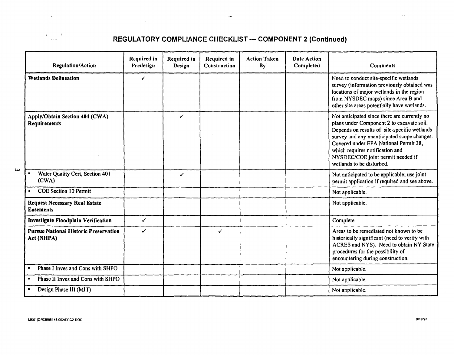

 $\overline{\omega}$ 

## REGULATORY COMPLIANCE CHECKLIST - COMPONENT 2 (Continued)

 $\sim 10^7$ 

| <b>Regulation/Action</b>                                   | <b>Required in</b><br>Predesign | Required in<br>Design | <b>Required in</b><br>Construction | <b>Action Taken</b><br>By | Date Action<br>Completed | <b>Comments</b>                                                                                                                                                                                                                                                                                                                        |
|------------------------------------------------------------|---------------------------------|-----------------------|------------------------------------|---------------------------|--------------------------|----------------------------------------------------------------------------------------------------------------------------------------------------------------------------------------------------------------------------------------------------------------------------------------------------------------------------------------|
| <b>Wetlands Delineation</b>                                | ✓                               |                       |                                    |                           |                          | Need to conduct site-specific wetlands<br>survey (information previously obtained was<br>locations of major wetlands in the region<br>from NYSDEC maps) since Area B and<br>other site areas potentially have wetlands.                                                                                                                |
| Apply/Obtain Section 404 (CWA)<br>Requirements             |                                 | ✓                     |                                    |                           |                          | Not anticipated since there are currently no<br>plans under Component 2 to excavate soil.<br>Depends on results of site-specific wetlands<br>survey and any unanticipated scope changes.<br>Covered under EPA National Permit 38,<br>which requires notification and<br>NYSDEC/COE joint permit needed if<br>wetlands to be disturbed. |
| Water Quality Cert, Section 401<br>(CWA)                   |                                 | ✓                     |                                    |                           |                          | Not anticipated to be applicable; use joint<br>permit application if required and see above.                                                                                                                                                                                                                                           |
| <b>COE Section 10 Permit</b>                               |                                 |                       |                                    |                           |                          | Not applicable.                                                                                                                                                                                                                                                                                                                        |
| <b>Request Necessary Real Estate</b><br><b>Easements</b>   |                                 |                       |                                    |                           |                          | Not applicable.                                                                                                                                                                                                                                                                                                                        |
| Investigate Floodplain Verification                        | $\checkmark$                    |                       |                                    |                           |                          | Complete.                                                                                                                                                                                                                                                                                                                              |
| <b>Pursue National Historic Preservation</b><br>Act (NHPA) | ✓                               |                       | $\checkmark$                       |                           |                          | Areas to be remediated not known to be<br>historically significant (need to verify with<br>ACRES and NYS). Need to obtain NY State<br>procedures for the possibility of<br>encountering during construction.                                                                                                                           |
| Phase I Inves and Cons with SHPO<br>$\blacksquare$         |                                 |                       |                                    |                           |                          | Not applicable.                                                                                                                                                                                                                                                                                                                        |
| Phase II Inves and Cons with SHPO<br>٠                     |                                 |                       |                                    |                           |                          | Not applicable.                                                                                                                                                                                                                                                                                                                        |
| Design Phase III (MIT)                                     |                                 |                       |                                    |                           |                          | Not applicable.                                                                                                                                                                                                                                                                                                                        |

 $\sim$  100  $\mu$ 

 $\sim$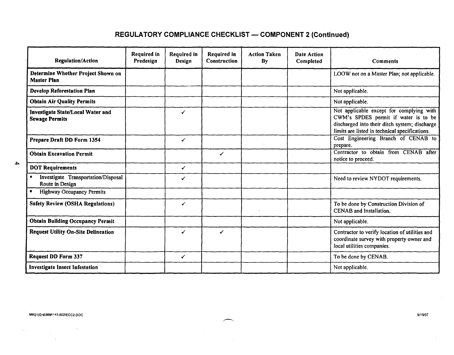## REGULATORY COMPLIANCE CHECKLIST - COMPONENT 2 (Continued)

| <b>Regulation/Action</b>                                          | Required in<br>Predesign | Required in<br><b>Design</b> | <b>Required in</b><br><b>Construction</b> | <b>Action Taken</b><br>By | Date Action<br>Completed | <b>Comments</b>                                                                                                                                                                     |
|-------------------------------------------------------------------|--------------------------|------------------------------|-------------------------------------------|---------------------------|--------------------------|-------------------------------------------------------------------------------------------------------------------------------------------------------------------------------------|
| Determine Whether Project Shown on<br><b>Master Plan</b>          |                          |                              |                                           |                           |                          | LOOW not on a Master Plan; not applicable.                                                                                                                                          |
| <b>Develop Reforestation Plan</b>                                 |                          |                              |                                           |                           |                          | Not applicable.                                                                                                                                                                     |
| <b>Obtain Air Quality Permits</b>                                 |                          |                              |                                           |                           |                          | Not applicable.                                                                                                                                                                     |
| <b>Investigate State/Local Water and</b><br><b>Sewage Permits</b> |                          | ✓                            |                                           |                           |                          | Not applicable except for complying with<br>CWM's SPDES permit if water is to be<br>discharged into their ditch system; discharge<br>limits are listed in technical specifications. |
| Prepare Draft DD Form 1354                                        |                          | $\checkmark$                 |                                           |                           |                          | Cost Engineering Branch of CENAB to<br>prepare.                                                                                                                                     |
| <b>Obtain Excavation Permit</b>                                   |                          |                              |                                           |                           |                          | Contractor to obtain from CENAB after<br>notice to proceed.                                                                                                                         |
| <b>DOT Requirements</b>                                           |                          | ✓                            |                                           |                           |                          |                                                                                                                                                                                     |
| Investigate Transportation/Disposal<br>Route in Design            |                          | ✓                            |                                           |                           |                          | Need to review NYDOT requirements.                                                                                                                                                  |
| <b>Highway Occupancy Permits</b><br>٠                             |                          |                              |                                           |                           |                          |                                                                                                                                                                                     |
| <b>Safety Review (OSHA Regulations)</b>                           |                          | ✓                            |                                           |                           |                          | To be done by Construction Division of<br>CENAB and Installation.                                                                                                                   |
| <b>Obtain Building Occupancy Permit</b>                           |                          |                              |                                           |                           |                          | Not applicable.                                                                                                                                                                     |
| <b>Request Utility On-Site Delineation</b>                        |                          | ✓                            |                                           |                           |                          | Contractor to verify location of utilities and<br>coordinate survey with property owner and<br>local utilities companies.                                                           |
| <b>Request DD Form 337</b>                                        |                          | ✓                            |                                           |                           |                          | To be done by CENAB.                                                                                                                                                                |
| <b>Investigate Insect Infestation</b>                             |                          |                              |                                           |                           |                          | Not applicable.                                                                                                                                                                     |

4

MKO'IO:\038~14;lOO2\ECC2.DOC *9/19/97* 

 $\alpha$  .

 $\alpha$